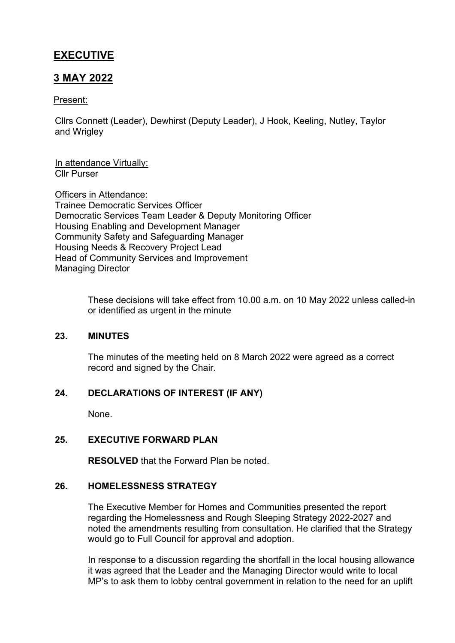# **EXECUTIVE**

# **3 MAY 2022**

#### Present:

Cllrs Connett (Leader), Dewhirst (Deputy Leader), J Hook, Keeling, Nutley, Taylor and Wrigley

In attendance Virtually: Cllr Purser

Officers in Attendance: Trainee Democratic Services Officer Democratic Services Team Leader & Deputy Monitoring Officer Housing Enabling and Development Manager Community Safety and Safeguarding Manager Housing Needs & Recovery Project Lead Head of Community Services and Improvement Managing Director

> These decisions will take effect from 10.00 a.m. on 10 May 2022 unless called-in or identified as urgent in the minute

#### **23. MINUTES**

The minutes of the meeting held on 8 March 2022 were agreed as a correct record and signed by the Chair.

## **24. DECLARATIONS OF INTEREST (IF ANY)**

None.

#### **25. EXECUTIVE FORWARD PLAN**

**RESOLVED** that the Forward Plan be noted.

#### **26. HOMELESSNESS STRATEGY**

The Executive Member for Homes and Communities presented the report regarding the Homelessness and Rough Sleeping Strategy 2022-2027 and noted the amendments resulting from consultation. He clarified that the Strategy would go to Full Council for approval and adoption.

In response to a discussion regarding the shortfall in the local housing allowance it was agreed that the Leader and the Managing Director would write to local MP's to ask them to lobby central government in relation to the need for an uplift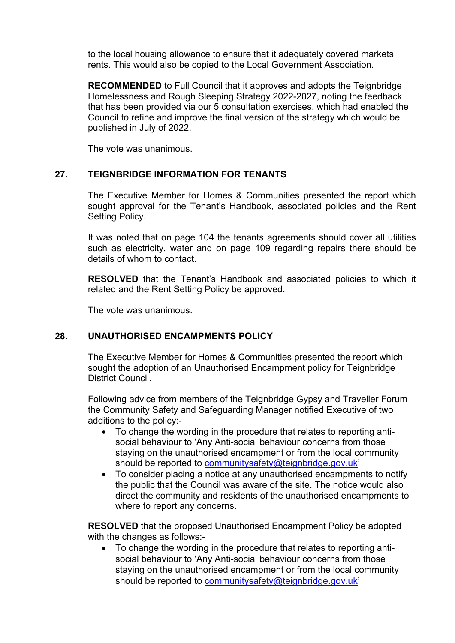to the local housing allowance to ensure that it adequately covered markets rents. This would also be copied to the Local Government Association.

**RECOMMENDED** to Full Council that it approves and adopts the Teignbridge Homelessness and Rough Sleeping Strategy 2022-2027, noting the feedback that has been provided via our 5 consultation exercises, which had enabled the Council to refine and improve the final version of the strategy which would be published in July of 2022.

The vote was unanimous.

### **27. TEIGNBRIDGE INFORMATION FOR TENANTS**

The Executive Member for Homes & Communities presented the report which sought approval for the Tenant's Handbook, associated policies and the Rent Setting Policy.

It was noted that on page 104 the tenants agreements should cover all utilities such as electricity, water and on page 109 regarding repairs there should be details of whom to contact.

**RESOLVED** that the Tenant's Handbook and associated policies to which it related and the Rent Setting Policy be approved.

The vote was unanimous.

#### **28. UNAUTHORISED ENCAMPMENTS POLICY**

The Executive Member for Homes & Communities presented the report which sought the adoption of an Unauthorised Encampment policy for Teignbridge District Council.

Following advice from members of the Teignbridge Gypsy and Traveller Forum the Community Safety and Safeguarding Manager notified Executive of two additions to the policy:-

- To change the wording in the procedure that relates to reporting antisocial behaviour to 'Any Anti-social behaviour concerns from those staying on the unauthorised encampment or from the local community should be reported to [communitysafety@teignbridge.gov.uk](mailto:communitysafety@teignbridge.gov.uk)'
- To consider placing a notice at any unauthorised encampments to notify the public that the Council was aware of the site. The notice would also direct the community and residents of the unauthorised encampments to where to report any concerns.

**RESOLVED** that the proposed Unauthorised Encampment Policy be adopted with the changes as follows:-

 To change the wording in the procedure that relates to reporting antisocial behaviour to 'Any Anti-social behaviour concerns from those staying on the unauthorised encampment or from the local community should be reported to community safety@teignbridge.gov.uk'